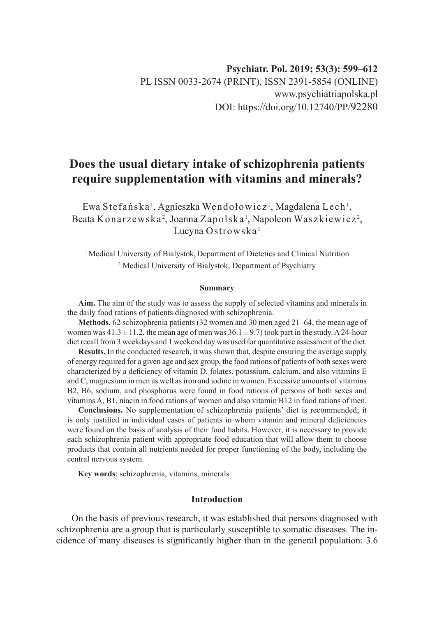# **Does the usual dietary intake of schizophrenia patients require supplementation with vitamins and minerals?**

Ewa Stefańska <sup>1</sup>, Agnieszka Wendołowicz <sup>1</sup>, Magdalena Lech <sup>1</sup>, Beata Konarzewska<sup>2</sup>, Joanna Zapolska <sup>1</sup>, Napoleon Waszkiewicz<sup>2</sup>, Lucyna Ostrowska<sup>1</sup>

<sup>1</sup> Medical University of Bialystok, Department of Dietetics and Clinical Nutrition 2 Medical University of Bialystok, Department of Psychiatry

#### **Summary**

**Aim.** The aim of the study was to assess the supply of selected vitamins and minerals in the daily food rations of patients diagnosed with schizophrenia.

**Methods.** 62 schizophrenia patients (32 women and 30 men aged 21–64, the mean age of women was  $41.3 \pm 11.2$ , the mean age of men was  $36.1 \pm 9.7$ ) took part in the study. A 24-hour diet recall from 3 weekdays and 1 weekend day was used for quantitative assessment of the diet.

**Results.** In the conducted research, it was shown that, despite ensuring the average supply of energy required for a given age and sex group, the food rations of patients of both sexes were characterized by a deficiency of vitamin D, folates, potassium, calcium, and also vitamins E and C, magnesium in men as well as iron and iodine in women. Excessive amounts of vitamins B2, B6, sodium, and phosphorus were found in food rations of persons of both sexes and vitamins A, B1, niacin in food rations of women and also vitamin B12 in food rations of men.

**Conclusions.** No supplementation of schizophrenia patients' diet is recommended; it is only justified in individual cases of patients in whom vitamin and mineral deficiencies were found on the basis of analysis of their food habits. However, it is necessary to provide each schizophrenia patient with appropriate food education that will allow them to choose products that contain all nutrients needed for proper functioning of the body, including the central nervous system.

**Key words**: schizophrenia, vitamins, minerals

## **Introduction**

On the basis of previous research, it was established that persons diagnosed with schizophrenia are a group that is particularly susceptible to somatic diseases. The incidence of many diseases is significantly higher than in the general population: 3.6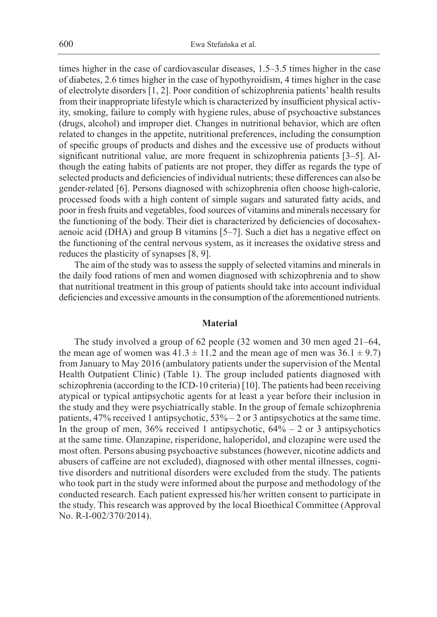times higher in the case of cardiovascular diseases, 1.5–3.5 times higher in the case of diabetes, 2.6 times higher in the case of hypothyroidism, 4 times higher in the case of electrolyte disorders [1, 2]. Poor condition of schizophrenia patients' health results from their inappropriate lifestyle which is characterized by insufficient physical activity, smoking, failure to comply with hygiene rules, abuse of psychoactive substances (drugs, alcohol) and improper diet. Changes in nutritional behavior, which are often related to changes in the appetite, nutritional preferences, including the consumption of specific groups of products and dishes and the excessive use of products without significant nutritional value, are more frequent in schizophrenia patients [3–5]. Although the eating habits of patients are not proper, they differ as regards the type of selected products and deficiencies of individual nutrients; these differences can also be gender-related [6]. Persons diagnosed with schizophrenia often choose high-calorie, processed foods with a high content of simple sugars and saturated fatty acids, and poor in fresh fruits and vegetables, food sources of vitamins and minerals necessary for the functioning of the body. Their diet is characterized by deficiencies of docosahexaenoic acid (DHA) and group B vitamins [5–7]. Such a diet has a negative effect on the functioning of the central nervous system, as it increases the oxidative stress and reduces the plasticity of synapses [8, 9].

The aim of the study was to assess the supply of selected vitamins and minerals in the daily food rations of men and women diagnosed with schizophrenia and to show that nutritional treatment in this group of patients should take into account individual deficiencies and excessive amounts in the consumption of the aforementioned nutrients.

#### **Material**

The study involved a group of 62 people (32 women and 30 men aged 21–64, the mean age of women was  $41.3 \pm 11.2$  and the mean age of men was  $36.1 \pm 9.7$ ) from January to May 2016 (ambulatory patients under the supervision of the Mental Health Outpatient Clinic) (Table 1). The group included patients diagnosed with schizophrenia (according to the ICD-10 criteria) [10]. The patients had been receiving atypical or typical antipsychotic agents for at least a year before their inclusion in the study and they were psychiatrically stable. In the group of female schizophrenia patients, 47% received 1 antipsychotic, 53% – 2 or 3 antipsychotics at the same time. In the group of men,  $36\%$  received 1 antipsychotic,  $64\% - 2$  or 3 antipsychotics at the same time. Olanzapine, risperidone, haloperidol, and clozapine were used the most often. Persons abusing psychoactive substances (however, nicotine addicts and abusers of caffeine are not excluded), diagnosed with other mental illnesses, cognitive disorders and nutritional disorders were excluded from the study. The patients who took part in the study were informed about the purpose and methodology of the conducted research. Each patient expressed his/her written consent to participate in the study. This research was approved by the local Bioethical Committee (Approval No. R-I-002/370/2014).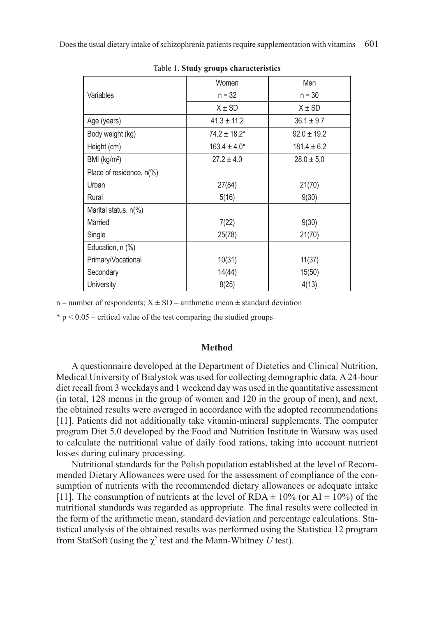|                          | Women             | Men             |  |  |
|--------------------------|-------------------|-----------------|--|--|
| Variables                | $n = 32$          | $n = 30$        |  |  |
|                          | $X \pm SD$        | $X \pm SD$      |  |  |
| Age (years)              | $41.3 \pm 11.2$   | $36.1 \pm 9.7$  |  |  |
| Body weight (kg)         | $74.2 \pm 18.2^*$ | $92.0 \pm 19.2$ |  |  |
| Height (cm)              | $163.4 \pm 4.0*$  | $181.4 \pm 6.2$ |  |  |
| BMI (kg/m <sup>2</sup> ) | $27.2 \pm 4.0$    | $28.0 \pm 5.0$  |  |  |
| Place of residence, n(%) |                   |                 |  |  |
| Urban                    | 27(84)            | 21(70)          |  |  |
| Rural                    | 5(16)             | 9(30)           |  |  |
| Marital status, $n\%$    |                   |                 |  |  |
| Married                  | 7(22)             | 9(30)           |  |  |
| Single                   | 25(78)            | 21(70)          |  |  |
| Education, n (%)         |                   |                 |  |  |
| Primary/Vocational       | 10(31)            | 11(37)          |  |  |
| Secondary                | 14(44)            | 15(50)          |  |  |
| University               | 8(25)             | 4(13)           |  |  |

Table 1. **Study groups characteristics**

n – number of respondents;  $X \pm SD$  – arithmetic mean  $\pm$  standard deviation

 $* p < 0.05$  – critical value of the test comparing the studied groups

#### **Method**

A questionnaire developed at the Department of Dietetics and Clinical Nutrition, Medical University of Bialystok was used for collecting demographic data. A 24-hour diet recall from 3 weekdays and 1 weekend day was used in the quantitative assessment (in total, 128 menus in the group of women and 120 in the group of men), and next, the obtained results were averaged in accordance with the adopted recommendations [11]. Patients did not additionally take vitamin-mineral supplements. The computer program Diet 5.0 developed by the Food and Nutrition Institute in Warsaw was used to calculate the nutritional value of daily food rations, taking into account nutrient losses during culinary processing.

Nutritional standards for the Polish population established at the level of Recommended Dietary Allowances were used for the assessment of compliance of the consumption of nutrients with the recommended dietary allowances or adequate intake [11]. The consumption of nutrients at the level of RDA  $\pm$  10% (or AI  $\pm$  10%) of the nutritional standards was regarded as appropriate. The final results were collected in the form of the arithmetic mean, standard deviation and percentage calculations. Statistical analysis of the obtained results was performed using the Statistica 12 program from StatSoft (using the  $\chi^2$  test and the Mann-Whitney *U* test).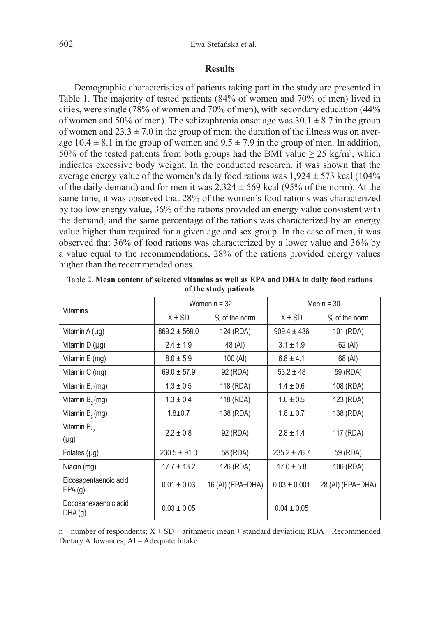#### **Results**

Demographic characteristics of patients taking part in the study are presented in Table 1. The majority of tested patients (84% of women and 70% of men) lived in cities, were single (78% of women and 70% of men), with secondary education (44% of women and 50% of men). The schizophrenia onset age was  $30.1 \pm 8.7$  in the group of women and  $23.3 \pm 7.0$  in the group of men; the duration of the illness was on average 10.4  $\pm$  8.1 in the group of women and 9.5  $\pm$  7.9 in the group of men. In addition, 50% of the tested patients from both groups had the BMI value  $\geq 25 \text{ kg/m}^2$ , which indicates excessive body weight. In the conducted research, it was shown that the average energy value of the women's daily food rations was  $1,924 \pm 573$  kcal (104%) of the daily demand) and for men it was  $2,324 \pm 569$  kcal (95% of the norm). At the same time, it was observed that 28% of the women's food rations was characterized by too low energy value, 36% of the rations provided an energy value consistent with the demand, and the same percentage of the rations was characterized by an energy value higher than required for a given age and sex group. In the case of men, it was observed that 36% of food rations was characterized by a lower value and 36% by a value equal to the recommendations, 28% of the rations provided energy values higher than the recommended ones.

| <b>Vitamins</b>                 | Women $n = 32$    |                   | Men $n = 30$     |                   |
|---------------------------------|-------------------|-------------------|------------------|-------------------|
|                                 | $X \pm SD$        | % of the norm     | $X \pm SD$       | $%$ of the norm   |
| Vitamin A (µg)                  | $869.2 \pm 569.0$ | 124 (RDA)         | $909.4 \pm 436$  | 101 (RDA)         |
| Vitamin D (µg)                  | $2.4 \pm 1.9$     | 48 (AI)           | $3.1 \pm 1.9$    | 62 (AI)           |
| Vitamin E (mg)                  | $8.0 \pm 5.9$     | 100 (Al)          | $6.8 \pm 4.1$    | 68 (AI)           |
| Vitamin C (mg)                  | $69.0 \pm 57.9$   | 92 (RDA)          | $53.2 \pm 48$    | 59 (RDA)          |
| Vitamin B <sub>1</sub> (mg)     | $1.3 \pm 0.5$     | 118 (RDA)         | $1.4 \pm 0.6$    | 108 (RDA)         |
| Vitamin B <sub>2</sub> (mg)     | $1.3 \pm 0.4$     | 118 (RDA)         | $1.6 \pm 0.5$    | 123 (RDA)         |
| Vitamin $B_{\epsilon}$ (mg)     | $1.8 + 0.7$       | 138 (RDA)         | $1.8 \pm 0.7$    | 138 (RDA)         |
| Vitamin $B_{12}$                | $2.2 \pm 0.8$     | 92 (RDA)          | $2.8 \pm 1.4$    | 117 (RDA)         |
| $(\mu g)$                       |                   |                   |                  |                   |
| Folates $(\mu q)$               | $230.5 \pm 91.0$  | 58 (RDA)          | $235.2 \pm 76.7$ | 59 (RDA)          |
| Niacin (mg)                     | $17.7 \pm 13.2$   | 126 (RDA)         | $17.0 \pm 5.8$   | 106 (RDA)         |
| Eicosapentaenoic acid<br>EPA(g) | $0.01 \pm 0.03$   | 16 (AI) (EPA+DHA) | $0.03 \pm 0.001$ | 28 (AI) (EPA+DHA) |
| Docosahexaenoic acid<br>DHA(g)  | $0.03 \pm 0.05$   |                   | $0.04 \pm 0.05$  |                   |

Table 2. **Mean content of selected vitamins as well as EPA and DHA in daily food rations of the study patients**

n – number of respondents;  $X \pm SD$  – arithmetic mean  $\pm$  standard deviation; RDA – Recommended Dietary Allowances; AI – Adequate Intake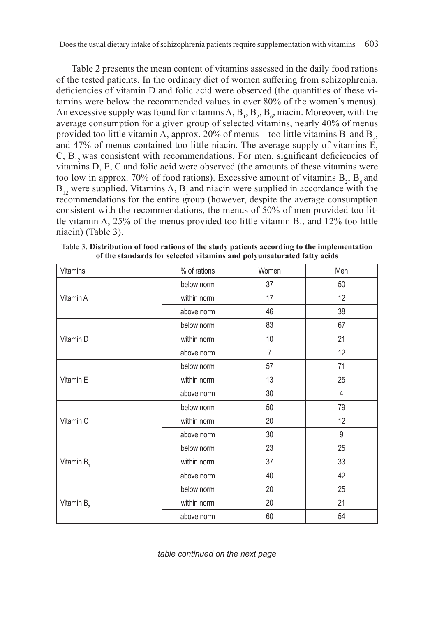Table 2 presents the mean content of vitamins assessed in the daily food rations of the tested patients. In the ordinary diet of women suffering from schizophrenia, deficiencies of vitamin D and folic acid were observed (the quantities of these vitamins were below the recommended values in over 80% of the women's menus). An excessive supply was found for vitamins  $A$ ,  $B_1$ ,  $B_2$ ,  $B_6$ , niacin. Moreover, with the average consumption for a given group of selected vitamins, nearly 40% of menus provided too little vitamin A, approx. 20% of menus – too little vitamins  $B_1$  and  $B_2$ , and 47% of menus contained too little niacin. The average supply of vitamins E,  $C, B<sub>12</sub>$  was consistent with recommendations. For men, significant deficiencies of vitamins D, E, C and folic acid were observed (the amounts of these vitamins were too low in approx. 70% of food rations). Excessive amount of vitamins  $B_2$ ,  $B_6$  and  $B_{12}$  were supplied. Vitamins A,  $B_1$  and niacin were supplied in accordance with the recommendations for the entire group (however, despite the average consumption consistent with the recommendations, the menus of 50% of men provided too little vitamin A, 25% of the menus provided too little vitamin  $B_1$ , and 12% too little niacin) (Table 3).

| Vitamins      | % of rations | Women          | Men   |
|---------------|--------------|----------------|-------|
| Vitamin A     | below norm   | 37             | 50    |
|               | within norm  | 17             | 12    |
|               | above norm   | 46             | 38    |
|               | below norm   | 83             | 67    |
| Vitamin D     | within norm  | 10             | 21    |
|               | above norm   | $\overline{7}$ | 12    |
| Vitamin E     | below norm   | 57             | 71    |
|               | within norm  | 13             | 25    |
|               | above norm   | 30             | 4     |
| Vitamin C     | below norm   | 50             | 79    |
|               | within norm  | 20             | 12    |
|               | above norm   | 30             | $9\,$ |
| Vitamin $B_1$ | below norm   | 23             | 25    |
|               | within norm  | 37             | 33    |
|               | above norm   | 40             | 42    |
| Vitamin $B_2$ | below norm   | 20             | 25    |
|               | within norm  | 20             | 21    |
|               | above norm   | 60             | 54    |

Table 3. **Distribution of food rations of the study patients according to the implementation of the standards for selected vitamins and polyunsaturated fatty acids**

*table continued on the next page*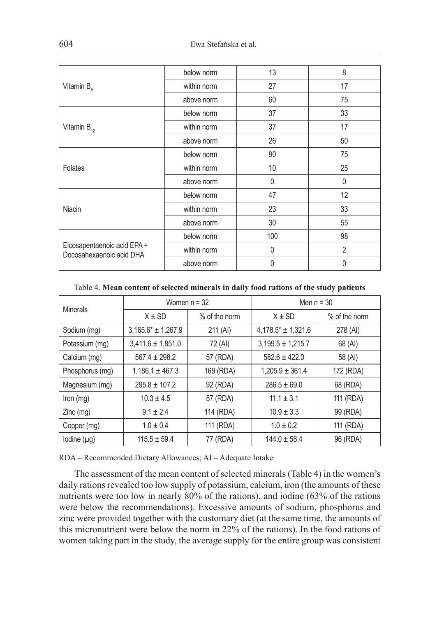| Vitamin $B_{\epsilon}$                                  | below norm  | 13           | 8              |
|---------------------------------------------------------|-------------|--------------|----------------|
|                                                         | within norm | 27           | 17             |
|                                                         | above norm  | 60           | 75             |
| Vitamin $B_{12}$                                        | below norm  | 37           | 33             |
|                                                         | within norm | 37           | 17             |
|                                                         | above norm  | 26           | 50             |
| <b>Folates</b>                                          | below norm  | 90           | 75             |
|                                                         | within norm | 10           | 25             |
|                                                         | above norm  | $\mathbf{0}$ | $\mathbf{0}$   |
| Niacin                                                  | below norm  | 47           | 12             |
|                                                         | within norm | 23           | 33             |
|                                                         | above norm  | 30           | 55             |
| Eicosapentaenoic acid EPA +<br>Docosahexaenoic acid DHA | below norm  | 100          | 98             |
|                                                         | within norm | $\mathbf 0$  | $\overline{2}$ |
|                                                         | above norm  | 0            | $\mathbf{0}$   |

Table 4. **Mean content of selected minerals in daily food rations of the study patients**

| <b>Minerals</b> | Women $n = 32$        |               | Men $n = 30$           |               |
|-----------------|-----------------------|---------------|------------------------|---------------|
|                 | $X \pm SD$            | % of the norm | $X \pm SD$             | % of the norm |
| Sodium (mg)     | $3,165.6* + 1,267.9$  | 211 (AI)      | $4,178.5* \pm 1,321.6$ | 278 (AI)      |
| Potassium (mg)  | $3,411.6 \pm 1,851.0$ | 72 (AI)       | $3.199.5 \pm 1.215.7$  | 68 (AI)       |
| Calcium (mg)    | $567.4 \pm 298.2$     | 57 (RDA)      | $582.6 \pm 422.0$      | 58 (AI)       |
| Phosphorus (mg) | $1,186.1 \pm 467.3$   | 169 (RDA)     | $1,205.9 \pm 361.4$    | 172 (RDA)     |
| Magnesium (mg)  | $295.8 \pm 107.2$     | 92 (RDA)      | $286.5 \pm 69.0$       | 68 (RDA)      |
| Iron $(mg)$     | $10.3 \pm 4.5$        | 57 (RDA)      | $11.1 \pm 3.1$         | 111 (RDA)     |
| Zinc (mg)       | $9.1 \pm 2.4$         | 114 (RDA)     | $10.9 \pm 3.3$         | 99 (RDA)      |
| Copper (mg)     | $1.0 \pm 0.4$         | 111 (RDA)     | $1.0 \pm 0.2$          | 111 (RDA)     |
| Iodine (µq)     | $115.5 \pm 59.4$      | 77 (RDA)      | $144.0 \pm 58.4$       | 96 (RDA)      |

RDA – Recommended Dietary Allowances; AI – Adequate Intake

The assessment of the mean content of selected minerals (Table 4) in the women's daily rations revealed too low supply of potassium, calcium, iron (the amounts of these nutrients were too low in nearly 80% of the rations), and iodine (63% of the rations were below the recommendations). Excessive amounts of sodium, phosphorus and zinc were provided together with the customary diet (at the same time, the amounts of this micronutrient were below the norm in 22% of the rations). In the food rations of women taking part in the study, the average supply for the entire group was consistent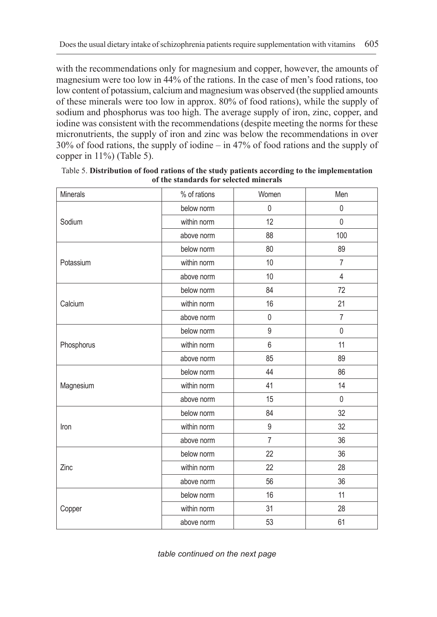with the recommendations only for magnesium and copper, however, the amounts of magnesium were too low in 44% of the rations. In the case of men's food rations, too low content of potassium, calcium and magnesium was observed (the supplied amounts of these minerals were too low in approx. 80% of food rations), while the supply of sodium and phosphorus was too high. The average supply of iron, zinc, copper, and iodine was consistent with the recommendations (despite meeting the norms for these micronutrients, the supply of iron and zinc was below the recommendations in over 30% of food rations, the supply of iodine – in 47% of food rations and the supply of copper in 11%) (Table 5).

| Minerals   | % of rations | Women          | Men            |
|------------|--------------|----------------|----------------|
| Sodium     | below norm   | $\pmb{0}$      | $\mathbf 0$    |
|            | within norm  | 12             | $\mathbf 0$    |
|            | above norm   | 88             | 100            |
|            | below norm   | 80             | 89             |
| Potassium  | within norm  | 10             | $\overline{7}$ |
|            | above norm   | 10             | $\overline{4}$ |
|            | below norm   | 84             | 72             |
| Calcium    | within norm  | 16             | 21             |
|            | above norm   | $\pmb{0}$      | $\overline{7}$ |
|            | below norm   | $\mathsf g$    | $\mathbf 0$    |
| Phosphorus | within norm  | 6              | 11             |
|            | above norm   | 85             | 89             |
|            | below norm   | 44             | 86             |
| Magnesium  | within norm  | 41             | 14             |
|            | above norm   | 15             | $\mathbf 0$    |
| Iron       | below norm   | 84             | 32             |
|            | within norm  | 9              | 32             |
|            | above norm   | $\overline{7}$ | 36             |
| Zinc       | below norm   | 22             | 36             |
|            | within norm  | 22             | 28             |
|            | above norm   | 56             | 36             |
|            | below norm   | 16             | 11             |
| Copper     | within norm  | 31             | 28             |
|            | above norm   | 53             | 61             |

Table 5. **Distribution of food rations of the study patients according to the implementation of the standards for selected minerals**

*table continued on the next page*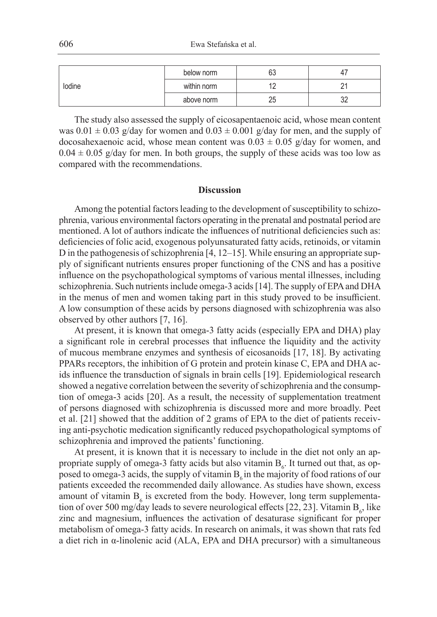| lodine | below norm  | 63 | 4.         |
|--------|-------------|----|------------|
|        | within norm | ॱ← | n.<br>-    |
|        | above norm  | 25 | nr.<br>ັບ∠ |

The study also assessed the supply of eicosapentaenoic acid, whose mean content was  $0.01 \pm 0.03$  g/day for women and  $0.03 \pm 0.001$  g/day for men, and the supply of docosahexaenoic acid, whose mean content was  $0.03 \pm 0.05$  g/day for women, and  $0.04 \pm 0.05$  g/day for men. In both groups, the supply of these acids was too low as compared with the recommendations.

### **Discussion**

Among the potential factors leading to the development of susceptibility to schizophrenia, various environmental factors operating in the prenatal and postnatal period are mentioned. A lot of authors indicate the influences of nutritional deficiencies such as: deficiencies of folic acid, exogenous polyunsaturated fatty acids, retinoids, or vitamin D in the pathogenesis of schizophrenia [4, 12–15]. While ensuring an appropriate supply of significant nutrients ensures proper functioning of the CNS and has a positive influence on the psychopathological symptoms of various mental illnesses, including schizophrenia. Such nutrients include omega-3 acids [14]. The supply of EPA and DHA in the menus of men and women taking part in this study proved to be insufficient. A low consumption of these acids by persons diagnosed with schizophrenia was also observed by other authors [7, 16].

At present, it is known that omega-3 fatty acids (especially EPA and DHA) play a significant role in cerebral processes that influence the liquidity and the activity of mucous membrane enzymes and synthesis of eicosanoids [17, 18]. By activating PPARs receptors, the inhibition of G protein and protein kinase C, EPA and DHA acids influence the transduction of signals in brain cells [19]. Epidemiological research showed a negative correlation between the severity of schizophrenia and the consumption of omega-3 acids [20]. As a result, the necessity of supplementation treatment of persons diagnosed with schizophrenia is discussed more and more broadly. Peet et al. [21] showed that the addition of 2 grams of EPA to the diet of patients receiving anti-psychotic medication significantly reduced psychopathological symptoms of schizophrenia and improved the patients' functioning.

At present, it is known that it is necessary to include in the diet not only an appropriate supply of omega-3 fatty acids but also vitamin  $B_{\delta}$ . It turned out that, as opposed to omega-3 acids, the supply of vitamin  $B<sub>6</sub>$  in the majority of food rations of our patients exceeded the recommended daily allowance. As studies have shown, excess amount of vitamin  $B_6$  is excreted from the body. However, long term supplementation of over 500 mg/day leads to severe neurological effects [22, 23]. Vitamin  $B_{6}$ , like zinc and magnesium, influences the activation of desaturase significant for proper metabolism of omega-3 fatty acids. In research on animals, it was shown that rats fed a diet rich in  $\alpha$ -linolenic acid (ALA, EPA and DHA precursor) with a simultaneous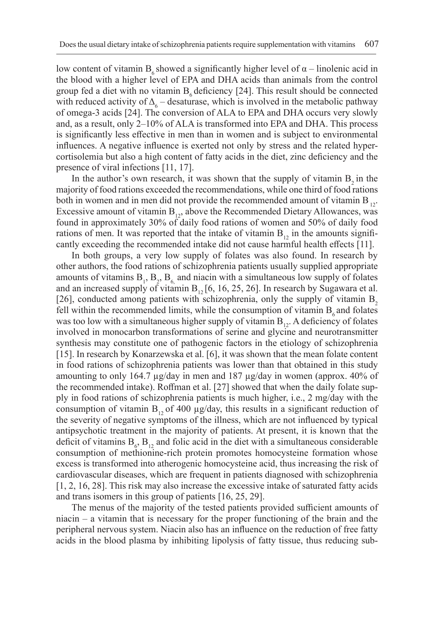low content of vitamin B<sub>ε</sub> showed a significantly higher level of  $\alpha$  – linolenic acid in the blood with a higher level of EPA and DHA acids than animals from the control group fed a diet with no vitamin  $B_6$  deficiency [24]. This result should be connected with reduced activity of  $\Delta_{6}$  – desaturase, which is involved in the metabolic pathway of omega-3 acids [24]. The conversion of ALA to EPA and DHA occurs very slowly and, as a result, only 2–10% of ALA is transformed into EPA and DHA. This process is significantly less effective in men than in women and is subject to environmental influences. A negative influence is exerted not only by stress and the related hypercortisolemia but also a high content of fatty acids in the diet, zinc deficiency and the presence of viral infections [11, 17].

In the author's own research, it was shown that the supply of vitamin  $B_2$  in the majority of food rations exceeded the recommendations, while one third of food rations both in women and in men did not provide the recommended amount of vitamin  $B_{12}$ . Excessive amount of vitamin  $B_{12}$ , above the Recommended Dietary Allowances, was found in approximately 30% of daily food rations of women and 50% of daily food rations of men. It was reported that the intake of vitamin  $B_{12}$  in the amounts significantly exceeding the recommended intake did not cause harmful health effects [11].

In both groups, a very low supply of folates was also found. In research by other authors, the food rations of schizophrenia patients usually supplied appropriate amounts of vitamins  $B_1$ ,  $B_2$ ,  $B_6$ , and niacin with a simultaneous low supply of folates and an increased supply of vitamin  $B_{12}$  [6, 16, 25, 26]. In research by Sugawara et al. [26], conducted among patients with schizophrenia, only the supply of vitamin  $B$ , fell within the recommended limits, while the consumption of vitamin  $B_{\epsilon}$  and folates was too low with a simultaneous higher supply of vitamin  $B_{12}$ . A deficiency of folates involved in monocarbon transformations of serine and glycine and neurotransmitter synthesis may constitute one of pathogenic factors in the etiology of schizophrenia [15]. In research by Konarzewska et al. [6], it was shown that the mean folate content in food rations of schizophrenia patients was lower than that obtained in this study amounting to only 164.7 µg/day in men and 187 µg/day in women (approx. 40% of the recommended intake). Roffman et al. [27] showed that when the daily folate supply in food rations of schizophrenia patients is much higher, i.e., 2 mg/day with the consumption of vitamin  $B<sub>12</sub>$  of 400 µg/day, this results in a significant reduction of the severity of negative symptoms of the illness, which are not influenced by typical antipsychotic treatment in the majority of patients. At present, it is known that the deficit of vitamins  $B_6$ ,  $B_{12}$  and folic acid in the diet with a simultaneous considerable consumption of methionine-rich protein promotes homocysteine formation whose excess is transformed into atherogenic homocysteine acid, thus increasing the risk of cardiovascular diseases, which are frequent in patients diagnosed with schizophrenia [1, 2, 16, 28]. This risk may also increase the excessive intake of saturated fatty acids and trans isomers in this group of patients [16, 25, 29].

The menus of the majority of the tested patients provided sufficient amounts of niacin – a vitamin that is necessary for the proper functioning of the brain and the peripheral nervous system. Niacin also has an influence on the reduction of free fatty acids in the blood plasma by inhibiting lipolysis of fatty tissue, thus reducing sub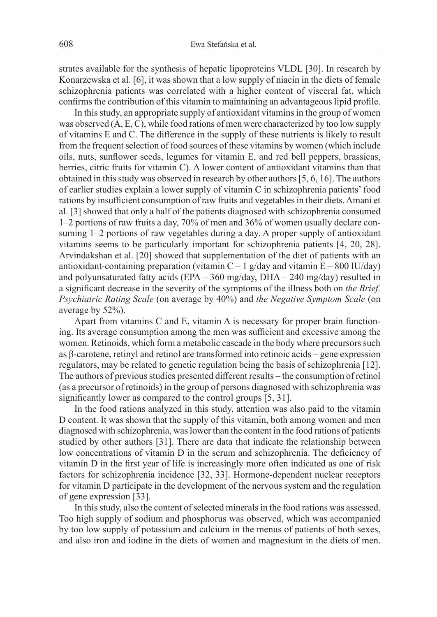strates available for the synthesis of hepatic lipoproteins VLDL [30]. In research by Konarzewska et al. [6], it was shown that a low supply of niacin in the diets of female schizophrenia patients was correlated with a higher content of visceral fat, which confirms the contribution of this vitamin to maintaining an advantageous lipid profile.

In this study, an appropriate supply of antioxidant vitamins in the group of women was observed (A, E, C), while food rations of men were characterized by too low supply of vitamins E and C. The difference in the supply of these nutrients is likely to result from the frequent selection of food sources of these vitamins by women (which include oils, nuts, sunflower seeds, legumes for vitamin E, and red bell peppers, brassicas, berries, citric fruits for vitamin C). A lower content of antioxidant vitamins than that obtained in this study was observed in research by other authors [5, 6, 16]. The authors of earlier studies explain a lower supply of vitamin C in schizophrenia patients' food rations by insufficient consumption of raw fruits and vegetables in their diets. Amani et al. [3] showed that only a half of the patients diagnosed with schizophrenia consumed 1–2 portions of raw fruits a day, 70% of men and 36% of women usually declare consuming 1–2 portions of raw vegetables during a day. A proper supply of antioxidant vitamins seems to be particularly important for schizophrenia patients [4, 20, 28]. Arvindakshan et al. [20] showed that supplementation of the diet of patients with an antioxidant-containing preparation (vitamin  $C - 1$  g/day and vitamin  $E - 800$  IU/day) and polyunsaturated fatty acids (EPA – 360 mg/day, DHA – 240 mg/day) resulted in a significant decrease in the severity of the symptoms of the illness both on *the Brief. Psychiatric Rating Scale* (on average by 40%) and *the Negative Symptom Scale* (on average by 52%).

Apart from vitamins C and E, vitamin A is necessary for proper brain functioning. Its average consumption among the men was sufficient and excessive among the women. Retinoids, which form a metabolic cascade in the body where precursors such as β-carotene, retinyl and retinol are transformed into retinoic acids – gene expression regulators, may be related to genetic regulation being the basis of schizophrenia [12]. The authors of previous studies presented different results – the consumption of retinol (as a precursor of retinoids) in the group of persons diagnosed with schizophrenia was significantly lower as compared to the control groups [5, 31].

In the food rations analyzed in this study, attention was also paid to the vitamin D content. It was shown that the supply of this vitamin, both among women and men diagnosed with schizophrenia, was lower than the content in the food rations of patients studied by other authors [31]. There are data that indicate the relationship between low concentrations of vitamin D in the serum and schizophrenia. The deficiency of vitamin D in the first year of life is increasingly more often indicated as one of risk factors for schizophrenia incidence [32, 33]. Hormone-dependent nuclear receptors for vitamin D participate in the development of the nervous system and the regulation of gene expression [33].

In this study, also the content of selected minerals in the food rations was assessed. Too high supply of sodium and phosphorus was observed, which was accompanied by too low supply of potassium and calcium in the menus of patients of both sexes, and also iron and iodine in the diets of women and magnesium in the diets of men.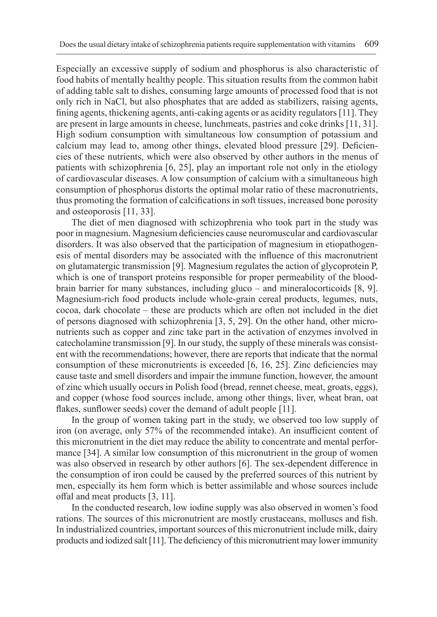Especially an excessive supply of sodium and phosphorus is also characteristic of food habits of mentally healthy people. This situation results from the common habit of adding table salt to dishes, consuming large amounts of processed food that is not only rich in NaCl, but also phosphates that are added as stabilizers, raising agents, fining agents, thickening agents, anti-caking agents or as acidity regulators [11]. They are present in large amounts in cheese, lunchmeats, pastries and coke drinks [11, 31]. High sodium consumption with simultaneous low consumption of potassium and calcium may lead to, among other things, elevated blood pressure [29]. Deficiencies of these nutrients, which were also observed by other authors in the menus of patients with schizophrenia [6, 25], play an important role not only in the etiology of cardiovascular diseases. A low consumption of calcium with a simultaneous high consumption of phosphorus distorts the optimal molar ratio of these macronutrients, thus promoting the formation of calcifications in soft tissues, increased bone porosity and osteoporosis [11, 33].

The diet of men diagnosed with schizophrenia who took part in the study was poor in magnesium. Magnesium deficiencies cause neuromuscular and cardiovascular disorders. It was also observed that the participation of magnesium in etiopathogenesis of mental disorders may be associated with the influence of this macronutrient on glutamatergic transmission [9]. Magnesium regulates the action of glycoprotein P, which is one of transport proteins responsible for proper permeability of the bloodbrain barrier for many substances, including gluco – and mineralocorticoids [8, 9]. Magnesium-rich food products include whole-grain cereal products, legumes, nuts, cocoa, dark chocolate – these are products which are often not included in the diet of persons diagnosed with schizophrenia [3, 5, 29]. On the other hand, other micronutrients such as copper and zinc take part in the activation of enzymes involved in catecholamine transmission [9]. In our study, the supply of these minerals was consistent with the recommendations; however, there are reports that indicate that the normal consumption of these micronutrients is exceeded [6, 16, 25]. Zinc deficiencies may cause taste and smell disorders and impair the immune function, however, the amount of zinc which usually occurs in Polish food (bread, rennet cheese, meat, groats, eggs), and copper (whose food sources include, among other things, liver, wheat bran, oat flakes, sunflower seeds) cover the demand of adult people [11].

In the group of women taking part in the study, we observed too low supply of iron (on average, only 57% of the recommended intake). An insufficient content of this micronutrient in the diet may reduce the ability to concentrate and mental performance [34]. A similar low consumption of this micronutrient in the group of women was also observed in research by other authors [6]. The sex-dependent difference in the consumption of iron could be caused by the preferred sources of this nutrient by men, especially its hem form which is better assimilable and whose sources include offal and meat products [3, 11].

In the conducted research, low iodine supply was also observed in women's food rations. The sources of this micronutrient are mostly crustaceans, molluscs and fish. In industrialized countries, important sources of this micronutrient include milk, dairy products and iodized salt [11]. The deficiency of this micronutrient may lower immunity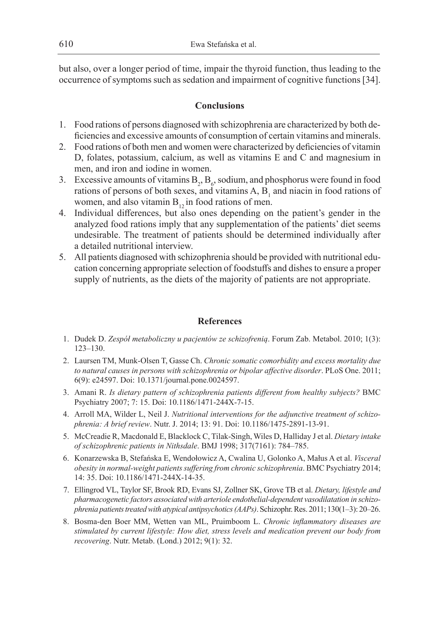but also, over a longer period of time, impair the thyroid function, thus leading to the occurrence of symptoms such as sedation and impairment of cognitive functions [34].

## **Conclusions**

- 1. Food rations of persons diagnosed with schizophrenia are characterized by both deficiencies and excessive amounts of consumption of certain vitamins and minerals.
- 2. Food rations of both men and women were characterized by deficiencies of vitamin D, folates, potassium, calcium, as well as vitamins E and C and magnesium in men, and iron and iodine in women.
- 3. Excessive amounts of vitamins  $B_2$ ,  $B_6$ , sodium, and phosphorus were found in food rations of persons of both sexes, and vitamins  $A$ ,  $B_1$  and niacin in food rations of women, and also vitamin  $B_{12}$  in food rations of men.
- 4. Individual differences, but also ones depending on the patient's gender in the analyzed food rations imply that any supplementation of the patients' diet seems undesirable. The treatment of patients should be determined individually after a detailed nutritional interview.
- 5. All patients diagnosed with schizophrenia should be provided with nutritional education concerning appropriate selection of foodstuffs and dishes to ensure a proper supply of nutrients, as the diets of the majority of patients are not appropriate.

## **References**

- 1. Dudek D. *Zespół metaboliczny u pacjentów ze schizofrenią*. Forum Zab. Metabol. 2010; 1(3): 123–130.
- 2. Laursen TM, Munk-Olsen T, Gasse Ch. *Chronic somatic comorbidity and excess mortality due to natural causes in persons with schizophrenia or bipolar affective disorder*. PLoS One. 2011; 6(9): e24597. Doi: 10.1371/journal.pone.0024597.
- 3. Amani R. *Is dietary pattern of schizophrenia patients different from healthy subjects?* BMC Psychiatry 2007; 7: 15. Doi: 10.1186/1471-244X-7-15.
- 4. Arroll MA, Wilder L, Neil J. *Nutritional interventions for the adjunctive treatment of schizophrenia: A brief review*. Nutr. J. 2014; 13: 91. Doi: 10.1186/1475-2891-13-91.
- 5. McCreadie R, Macdonald E, Blacklock C, Tilak-Singh, Wiles D, Halliday J et al. *Dietary intake of schizophrenic patients in Nithsdale*. BMJ 1998; 317(7161): 784–785.
- 6. Konarzewska B, Stefańska E, Wendołowicz A, Cwalina U, Golonko A, Małus A et al. *Visceral obesity in normal-weight patients suffering from chronic schizophrenia*. BMC Psychiatry 2014; 14: 35. Doi: 10.1186/1471-244X-14-35.
- 7. Ellingrod VL, Taylor SF, Brook RD, Evans SJ, Zollner SK, Grove TB et al. *Dietary, lifestyle and pharmacogenetic factors associated with arteriole endothelial-dependent vasodilatation in schizophrenia patients treated with atypical antipsychotics (AAPs)*. Schizophr. Res. 2011; 130(1–3): 20–26.
- 8. Bosma-den Boer MM, Wetten van ML, Pruimboom L. *Chronic inflammatory diseases are stimulated by current lifestyle: How diet, stress levels and medication prevent our body from recovering*. Nutr. Metab. (Lond.) 2012; 9(1): 32.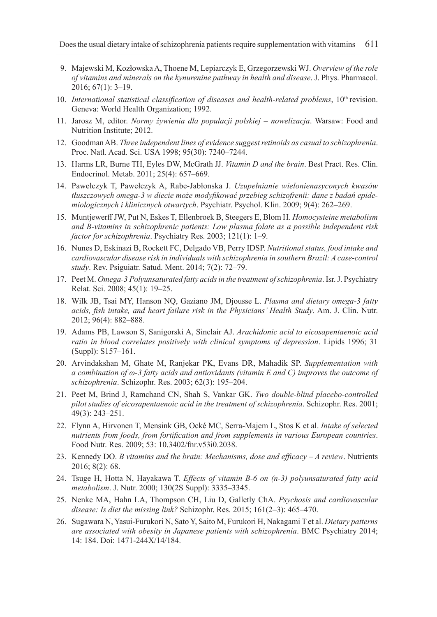- 9. Majewski M, Kozłowska A, Thoene M, Lepiarczyk E, Grzegorzewski WJ. *Overview of the role of vitamins and minerals on the kynurenine pathway in health and disease*. J. Phys. Pharmacol. 2016; 67(1): 3–19.
- 10. *International statistical classification of diseases and health-related problems*, 10<sup>th</sup> revision. Geneva: World Health Organization; 1992.
- 11. Jarosz M, editor. *Normy żywienia dla populacji polskiej nowelizacja*. Warsaw: Food and Nutrition Institute; 2012.
- 12. Goodman AB. *Three independent lines of evidence suggest retinoids as casual to schizophrenia*. Proc. Natl. Acad. Sci. USA 1998; 95(30): 7240–7244.
- 13. Harms LR, Burne TH, Eyles DW, McGrath JJ. *Vitamin D and the brain*. Best Pract. Res. Clin. Endocrinol. Metab. 2011; 25(4): 657–669.
- 14. Pawełczyk T, Pawełczyk A, Rabe-Jabłonska J. *Uzupełnianie wielonienasyconych kwasów tłuszczowych omega-3 w diecie może modyfikować przebieg schizofrenii: dane z badań epidemiologicznych i klinicznych otwartych*. Psychiatr. Psychol. Klin. 2009; 9(4): 262–269.
- 15. Muntjewerff JW, Put N, Eskes T, Ellenbroek B, Steegers E, Blom H. *Homocysteine metabolism and B-vitamins in schizophrenic patients: Low plasma folate as a possible independent risk factor for schizophrenia*. Psychiatry Res. 2003; 121(1): 1–9.
- 16. Nunes D, Eskinazi B, Rockett FC, Delgado VB, Perry IDSP. *Nutritional status, food intake and cardiovascular disease risk in individuals with schizophrenia in southern Brazil: A case-control study*. Rev. Psiguiatr. Satud. Ment. 2014; 7(2): 72–79.
- 17. Peet M. *Omega-3 Polyunsaturated fatty acids in the treatment of schizophrenia*. Isr. J. Psychiatry Relat. Sci. 2008; 45(1): 19–25.
- 18. Wilk JB, Tsai MY, Hanson NQ, Gaziano JM, Djousse L. *Plasma and dietary omega-3 fatty acids, fish intake, and heart failure risk in the Physicians' Health Study*. Am. J. Clin. Nutr. 2012; 96(4): 882–888.
- 19. Adams PB, Lawson S, Sanigorski A, Sinclair AJ. *Arachidonic acid to eicosapentaenoic acid ratio in blood correlates positively with clinical symptoms of depression*. Lipids 1996; 31 (Suppl): S157–161.
- 20. Arvindakshan M, Ghate M, Ranjekar PK, Evans DR, Mahadik SP. *Supplementation with a combination of ω-3 fatty acids and antioxidants (vitamin E and C) improves the outcome of schizophrenia*. Schizophr. Res. 2003; 62(3): 195–204.
- 21. Peet M, Brind J, Ramchand CN, Shah S, Vankar GK. *Two double-blind placebo-controlled pilot studies of eicosapentaenoic acid in the treatment of schizophrenia*. Schizophr. Res. 2001; 49(3): 243–251.
- 22. Flynn A, Hirvonen T, Mensink GB, Ocké MC, Serra-Majem L, Stos K et al. *Intake of selected nutrients from foods, from fortification and from supplements in various European countries*. Food Nutr. Res. 2009; 53: 10.3402/fnr.v53i0.2038.
- 23. Kennedy DO. *B vitamins and the brain: Mechanisms, dose and efficacy A review*. Nutrients 2016; 8(2): 68.
- 24. Tsuge H, Hotta N, Hayakawa T. *Effects of vitamin B-6 on (n-3) polyunsaturated fatty acid metabolism*. J. Nutr. 2000; 130(2S Suppl): 3335–3345.
- 25. Nenke MA, Hahn LA, Thompson CH, Liu D, Galletly ChA. *Psychosis and cardiovascular disease: Is diet the missing link?* Schizophr. Res. 2015; 161(2–3): 465–470.
- 26. Sugawara N, Yasui-Furukori N, Sato Y, Saito M, Furukori H, Nakagami T et al. *Dietary patterns are associated with obesity in Japanese patients with schizophrenia*. BMC Psychiatry 2014; 14: 184. Doi: 1471-244X/14/184.